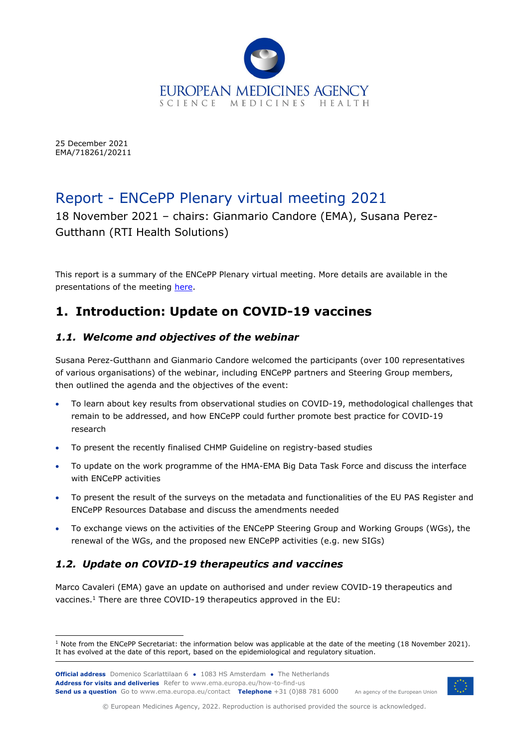

25 December 2021 EMA/718261/20211

# Report - ENCePP Plenary virtual meeting 2021

18 November 2021 – chairs: Gianmario Candore (EMA), Susana Perez-Gutthann (RTI Health Solutions)

This report is a summary of the ENCePP Plenary virtual meeting. More details are available in the presentations of the meeting [here.](https://www.encepp.eu/publications/PlenaryMeetingReports.shtml)

# **1. Introduction: Update on COVID-19 vaccines**

#### *1.1. Welcome and objectives of the webinar*

Susana Perez-Gutthann and Gianmario Candore welcomed the participants (over 100 representatives of various organisations) of the webinar, including ENCePP partners and Steering Group members, then outlined the agenda and the objectives of the event:

- To learn about key results from observational studies on COVID-19, methodological challenges that remain to be addressed, and how ENCePP could further promote best practice for COVID-19 research
- To present the recently finalised CHMP Guideline on registry-based studies
- To update on the work programme of the HMA-EMA Big Data Task Force and discuss the interface with ENCePP activities
- To present the result of the surveys on the metadata and functionalities of the EU PAS Register and ENCePP Resources Database and discuss the amendments needed
- To exchange views on the activities of the ENCePP Steering Group and Working Groups (WGs), the renewal of the WGs, and the proposed new ENCePP activities (e.g. new SIGs)

# *1.2. Update on COVID-19 therapeutics and vaccines*

Marco Cavaleri (EMA) gave an update on authorised and under review COVID-19 therapeutics and vaccines. <sup>1</sup> There are three COVID-19 therapeutics approved in the EU:

**Official address** Domenico Scarlattilaan 6 **●** 1083 HS Amsterdam **●** The Netherlands An agency of the European Union **Address for visits and deliveries** Refer to www.ema.europa.eu/how-to-find-us **Send us a question** Go to www.ema.europa.eu/contact **Telephone** +31 (0)88 781 6000



© European Medicines Agency, 2022. Reproduction is authorised provided the source is acknowledged.

<sup>&</sup>lt;sup>1</sup> Note from the ENCePP Secretariat: the information below was applicable at the date of the meeting (18 November 2021). It has evolved at the date of this report, based on the epidemiological and regulatory situation.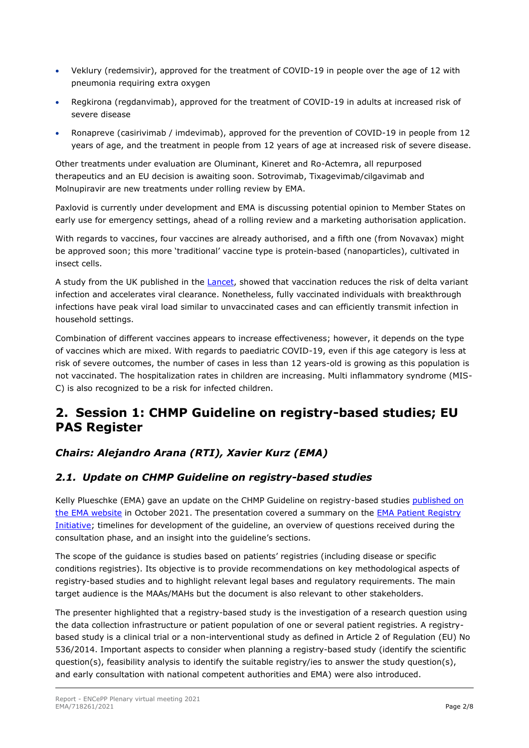- Veklury (redemsivir), approved for the treatment of COVID-19 in people over the age of 12 with pneumonia requiring extra oxygen
- Regkirona (regdanvimab), approved for the treatment of COVID-19 in adults at increased risk of severe disease
- Ronapreve (casirivimab / imdevimab), approved for the prevention of COVID-19 in people from 12 years of age, and the treatment in people from 12 years of age at increased risk of severe disease.

Other treatments under evaluation are Oluminant, Kineret and Ro-Actemra, all repurposed therapeutics and an EU decision is awaiting soon. Sotrovimab, Tixagevimab/cilgavimab and Molnupiravir are new treatments under rolling review by EMA.

Paxlovid is currently under development and EMA is discussing potential opinion to Member States on early use for emergency settings, ahead of a rolling review and a marketing authorisation application.

With regards to vaccines, four vaccines are already authorised, and a fifth one (from Novavax) might be approved soon; this more 'traditional' vaccine type is protein-based (nanoparticles), cultivated in insect cells.

A study from the UK published in the [Lancet,](https://www.thelancet.com/journals/laninf/article/PIIS1473-3099(21)00648-4/fulltext) showed that vaccination reduces the risk of delta variant infection and accelerates viral clearance. Nonetheless, fully vaccinated individuals with breakthrough infections have peak viral load similar to unvaccinated cases and can efficiently transmit infection in household settings.

Combination of different vaccines appears to increase effectiveness; however, it depends on the type of vaccines which are mixed. With regards to paediatric COVID-19, even if this age category is less at risk of severe outcomes, the number of cases in less than 12 years-old is growing as this population is not vaccinated. The hospitalization rates in children are increasing. Multi inflammatory syndrome (MIS-C) is also recognized to be a risk for infected children.

# **2. Session 1: CHMP Guideline on registry-based studies; EU PAS Register**

# *Chairs: Alejandro Arana (RTI), Xavier Kurz (EMA)*

# *2.1. Update on CHMP Guideline on registry-based studies*

Kelly Plueschke (EMA) gave an update on the CHMP Guideline on registry-based studies published on [the EMA website](https://www.ema.europa.eu/en/guideline-registry-based-studies-0) in October 2021. The presentation covered a summary on the [EMA Patient Registry](https://www.ema.europa.eu/en/human-regulatory/post-authorisation/patient-registries)  [Initiative;](https://www.ema.europa.eu/en/human-regulatory/post-authorisation/patient-registries) timelines for development of the guideline, an overview of questions received during the consultation phase, and an insight into the guideline's sections.

The scope of the guidance is studies based on patients' registries (including disease or specific conditions registries). Its objective is to provide recommendations on key methodological aspects of registry-based studies and to highlight relevant legal bases and regulatory requirements. The main target audience is the MAAs/MAHs but the document is also relevant to other stakeholders.

The presenter highlighted that a registry-based study is the investigation of a research question using the data collection infrastructure or patient population of one or several patient registries. A registrybased study is a clinical trial or a non-interventional study as defined in Article 2 of Regulation (EU) No 536/2014. Important aspects to consider when planning a registry-based study (identify the scientific question(s), feasibility analysis to identify the suitable registry/ies to answer the study question(s), and early consultation with national competent authorities and EMA) were also introduced.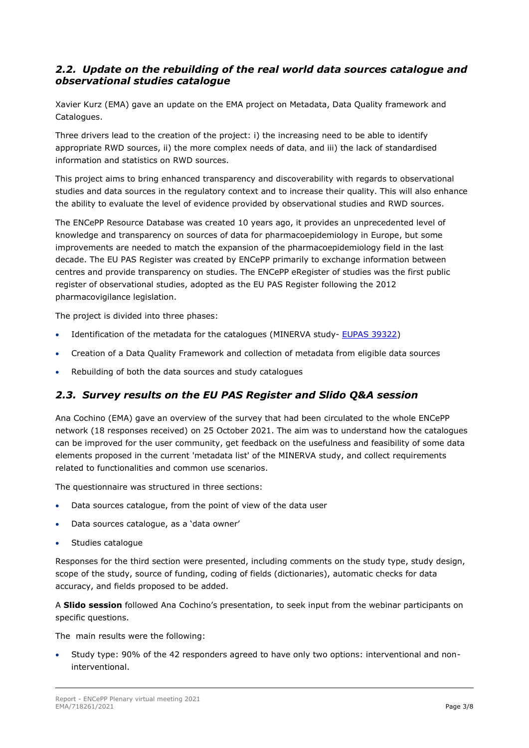#### *2.2. Update on the rebuilding of the real world data sources catalogue and observational studies catalogue*

Xavier Kurz (EMA) gave an update on the EMA project on Metadata, Data Quality framework and Catalogues.

Three drivers lead to the creation of the project: i) the increasing need to be able to identify appropriate RWD sources, ii) the more complex needs of data, and iii) the lack of standardised information and statistics on RWD sources.

This project aims to bring enhanced transparency and discoverability with regards to observational studies and data sources in the regulatory context and to increase their quality. This will also enhance the ability to evaluate the level of evidence provided by observational studies and RWD sources.

The ENCePP Resource Database was created 10 years ago, it provides an unprecedented level of knowledge and transparency on sources of data for pharmacoepidemiology in Europe, but some improvements are needed to match the expansion of the pharmacoepidemiology field in the last decade. The EU PAS Register was created by ENCePP primarily to exchange information between centres and provide transparency on studies. The ENCePP eRegister of studies was the first public register of observational studies, adopted as the EU PAS Register following the 2012 pharmacovigilance legislation.

The project is divided into three phases:

- Identification of the metadata for the catalogues (MINERVA study- [EUPAS 39322\)](https://www.encepp.eu/encepp/viewResource.htm?id=43138)
- Creation of a Data Quality Framework and collection of metadata from eligible data sources
- Rebuilding of both the data sources and study catalogues

# *2.3. Survey results on the EU PAS Register and Slido Q&A session*

Ana Cochino (EMA) gave an overview of the survey that had been circulated to the whole ENCePP network (18 responses received) on 25 October 2021. The aim was to understand how the catalogues can be improved for the user community, get feedback on the usefulness and feasibility of some data elements proposed in the current 'metadata list' of the MINERVA study, and collect requirements related to functionalities and common use scenarios.

The questionnaire was structured in three sections:

- Data sources catalogue, from the point of view of the data user
- Data sources catalogue, as a 'data owner'
- Studies catalogue

Responses for the third section were presented, including comments on the study type, study design, scope of the study, source of funding, coding of fields (dictionaries), automatic checks for data accuracy, and fields proposed to be added.

A **Slido session** followed Ana Cochino's presentation, to seek input from the webinar participants on specific questions.

The main results were the following:

• Study type: 90% of the 42 responders agreed to have only two options: interventional and noninterventional.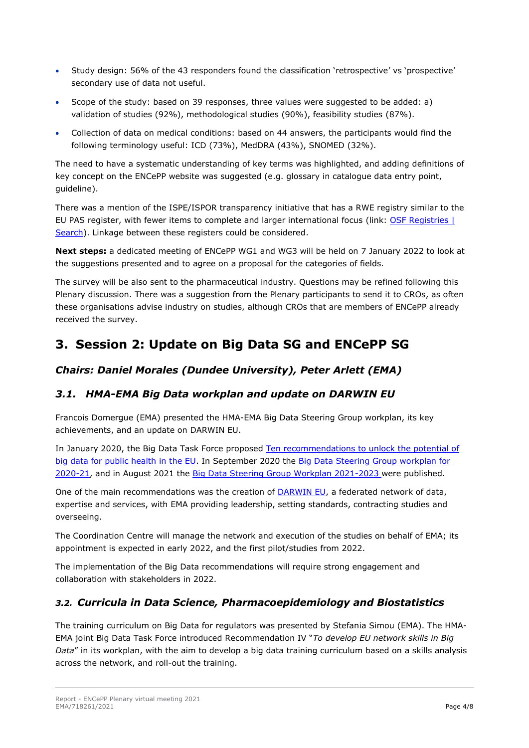- Study design: 56% of the 43 responders found the classification 'retrospective' vs 'prospective' secondary use of data not useful.
- Scope of the study: based on 39 responses, three values were suggested to be added: a) validation of studies (92%), methodological studies (90%), feasibility studies (87%).
- Collection of data on medical conditions: based on 44 answers, the participants would find the following terminology useful: ICD (73%), MedDRA (43%), SNOMED (32%).

The need to have a systematic understanding of key terms was highlighted, and adding definitions of key concept on the ENCePP website was suggested (e.g. glossary in catalogue data entry point, guideline).

There was a mention of the ISPE/ISPOR transparency initiative that has a RWE registry similar to the EU PAS register, with fewer items to complete and larger international focus (link: OSF Registries | [Search\)](https://osf.io/registries/discover). Linkage between these registers could be considered.

**Next steps:** a dedicated meeting of ENCePP WG1 and WG3 will be held on 7 January 2022 to look at the suggestions presented and to agree on a proposal for the categories of fields.

The survey will be also sent to the pharmaceutical industry. Questions may be refined following this Plenary discussion. There was a suggestion from the Plenary participants to send it to CROs, as often these organisations advise industry on studies, although CROs that are members of ENCePP already received the survey.

# **3. Session 2: Update on Big Data SG and ENCePP SG**

#### *Chairs: Daniel Morales (Dundee University), Peter Arlett (EMA)*

#### *3.1. HMA-EMA Big Data workplan and update on DARWIN EU*

Francois Domergue (EMA) presented the HMA-EMA Big Data Steering Group workplan, its key achievements, and an update on DARWIN EU.

In January 2020, the [Big Data Task Force p](http://www.hma.eu/506.html?&L=0)roposed [Ten recommendations to unlock the potential of](https://www.ema.europa.eu/en/news/ten-recommendations-unlock-potential-big-data-public-health-eu)  [big data for public health in the EU.](https://www.ema.europa.eu/en/news/ten-recommendations-unlock-potential-big-data-public-health-eu) In September 2020 the [Big Data Steering Group workplan for](https://www.ema.europa.eu/en/news/ten-recommendations-unlock-potential-big-data-public-health-eu)  [2020-21,](https://www.ema.europa.eu/en/news/ten-recommendations-unlock-potential-big-data-public-health-eu) and in August 2021 the [Big Data Steering Group Workplan 2021-2023 w](https://www.ema.europa.eu/en/documents/work-programme/workplan-2021-2023-hma/ema-joint-big-data-steering-group_en.pdf)ere published.

One of the main recommendations was the creation of [DARWIN EU,](https://www.ema.europa.eu/en/about-us/how-we-work/big-data/data-analysis-real-world-interrogation-network-darwin-eu) a federated network of data, expertise and services, with EMA providing leadership, setting standards, contracting studies and overseeing.

The Coordination Centre will manage the network and execution of the studies on behalf of EMA; its appointment is expected in early 2022, and the first pilot/studies from 2022.

The implementation of the Big Data recommendations will require strong engagement and collaboration with stakeholders in 2022.

#### *3.2. Curricula in Data Science, Pharmacoepidemiology and Biostatistics*

The training curriculum on Big Data for regulators was presented by Stefania Simou (EMA). The HMA-EMA joint Big Data Task Force introduced Recommendation IV "*To develop EU network skills in Big Data*" in its workplan, with the aim to develop a big data training curriculum based on a skills analysis across the network, and roll-out the training.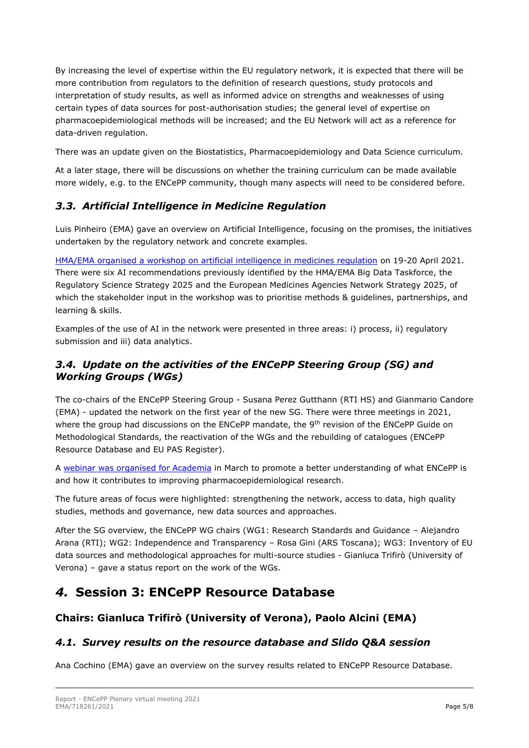By increasing the level of expertise within the EU regulatory network, it is expected that there will be more contribution from regulators to the definition of research questions, study protocols and interpretation of study results, as well as informed advice on strengths and weaknesses of using certain types of data sources for post-authorisation studies; the general level of expertise on pharmacoepidemiological methods will be increased; and the EU Network will act as a reference for data-driven regulation.

There was an update given on the Biostatistics, Pharmacoepidemiology and Data Science curriculum.

At a later stage, there will be discussions on whether the training curriculum can be made available more widely, e.g. to the ENCePP community, though many aspects will need to be considered before.

#### *3.3. Artificial Intelligence in Medicine Regulation*

Luis Pinheiro (EMA) gave an overview on Artificial Intelligence, focusing on the promises, the initiatives undertaken by the regulatory network and concrete examples.

[HMA/EMA organised a workshop on artificial intelligence in medicines regulation](https://www.ema.europa.eu/en/events/joint-hmaema-workshop-artificial-intelligence-medicines-regulation) on 19-20 April 2021. There were six AI recommendations previously identified by the HMA/EMA Big Data Taskforce, the Regulatory Science Strategy 2025 and the European Medicines Agencies Network Strategy 2025, of which the stakeholder input in the workshop was to prioritise methods & guidelines, partnerships, and learning & skills.

Examples of the use of AI in the network were presented in three areas: i) process, ii) regulatory submission and iii) data analytics.

### *3.4. Update on the activities of the ENCePP Steering Group (SG) and Working Groups (WGs)*

The co-chairs of the ENCePP Steering Group - Susana Perez Gutthann (RTI HS) and Gianmario Candore (EMA) - updated the network on the first year of the new SG. There were three meetings in 2021, where the group had discussions on the ENCePP mandate, the 9<sup>th</sup> revision of the ENCePP Guide on Methodological Standards, the reactivation of the WGs and the rebuilding of catalogues (ENCePP Resource Database and EU PAS Register).

A [webinar was organised](https://www.ema.europa.eu/en/events/real-world-research-medicines-contribution-european-network-centres-pharmacoepidemiology) for Academia in March to promote a better understanding of what ENCePP is and how it contributes to improving pharmacoepidemiological research.

The future areas of focus were highlighted: strengthening the network, access to data, high quality studies, methods and governance, new data sources and approaches.

After the SG overview, the ENCePP WG chairs (WG1: Research Standards and Guidance – Alejandro Arana (RTI); WG2: Independence and Transparency – Rosa Gini (ARS Toscana); WG3: Inventory of EU data sources and methodological approaches for multi-source studies - Gianluca Trifirò (University of Verona) – gave a status report on the work of the WGs.

# *4.* **Session 3: ENCePP Resource Database**

# **Chairs: Gianluca Trifirò (University of Verona), Paolo Alcini (EMA)**

# *4.1. Survey results on the resource database and Slido Q&A session*

Ana Cochino (EMA) gave an overview on the survey results related to ENCePP Resource Database.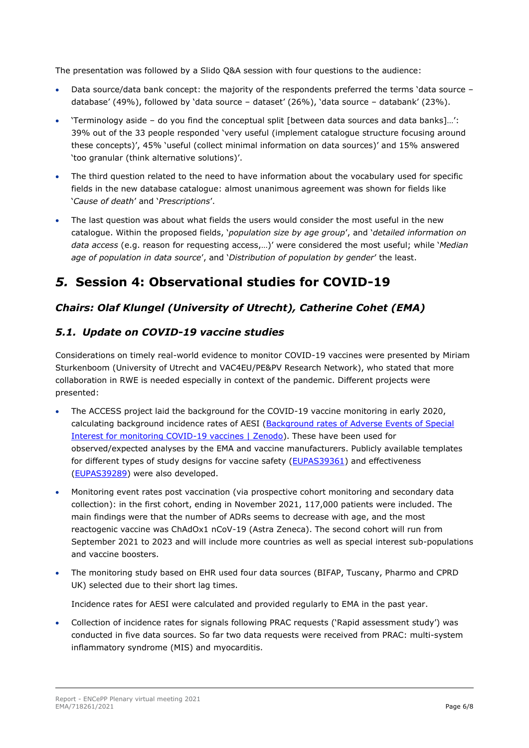The presentation was followed by a Slido Q&A session with four questions to the audience:

- Data source/data bank concept: the majority of the respondents preferred the terms 'data source database' (49%), followed by 'data source – dataset' (26%), 'data source – databank' (23%).
- 'Terminology aside do you find the conceptual split [between data sources and data banks]…': 39% out of the 33 people responded 'very useful (implement catalogue structure focusing around these concepts)', 45% 'useful (collect minimal information on data sources)' and 15% answered 'too granular (think alternative solutions)'.
- The third question related to the need to have information about the vocabulary used for specific fields in the new database catalogue: almost unanimous agreement was shown for fields like '*Cause of death*' and '*Prescriptions*'.
- The last question was about what fields the users would consider the most useful in the new catalogue. Within the proposed fields, '*population size by age group*', and '*detailed information on data access* (e.g. reason for requesting access,…)' were considered the most useful; while '*Median age of population in data source*', and '*Distribution of population by gender*' the least.

# *5.* **Session 4: Observational studies for COVID-19**

#### *Chairs: Olaf Klungel (University of Utrecht), Catherine Cohet (EMA)*

#### *5.1. Update on COVID-19 vaccine studies*

Considerations on timely real-world evidence to monitor COVID-19 vaccines were presented by Miriam Sturkenboom (University of Utrecht and VAC4EU/PE&PV Research Network), who stated that more collaboration in RWE is needed especially in context of the pandemic. Different projects were presented:

- The ACCESS project laid the background for the COVID-19 vaccine monitoring in early 2020, calculating background incidence rates of AESI [\(Background rates of Adverse Events of Special](https://zenodo.org/record/5255870#.YdQP9WDMKUk)  [Interest for monitoring COVID-19 vaccines | Zenodo\)](https://zenodo.org/record/5255870#.YdQP9WDMKUk). These have been used for observed/expected analyses by the EMA and vaccine manufacturers. Publicly available templates for different types of study designs for vaccine safety [\(EUPAS39361\)](https://www.encepp.eu/encepp/viewResource.htm?id=39362) and effectiveness [\(EUPAS39289\)](https://www.encepp.eu/encepp/viewResource.htm?id=39290) were also developed.
- Monitoring event rates post vaccination (via prospective cohort monitoring and secondary data collection): in the first cohort, ending in November 2021, 117,000 patients were included. The main findings were that the number of ADRs seems to decrease with age, and the most reactogenic vaccine was ChAdOx1 nCoV-19 (Astra Zeneca). The second cohort will run from September 2021 to 2023 and will include more countries as well as special interest sub-populations and vaccine boosters.
- The monitoring study based on EHR used four data sources (BIFAP, Tuscany, Pharmo and CPRD UK) selected due to their short lag times.

Incidence rates for AESI were calculated and provided regularly to EMA in the past year.

• Collection of incidence rates for signals following PRAC requests ('Rapid assessment study') was conducted in five data sources. So far two data requests were received from PRAC: multi-system inflammatory syndrome (MIS) and myocarditis.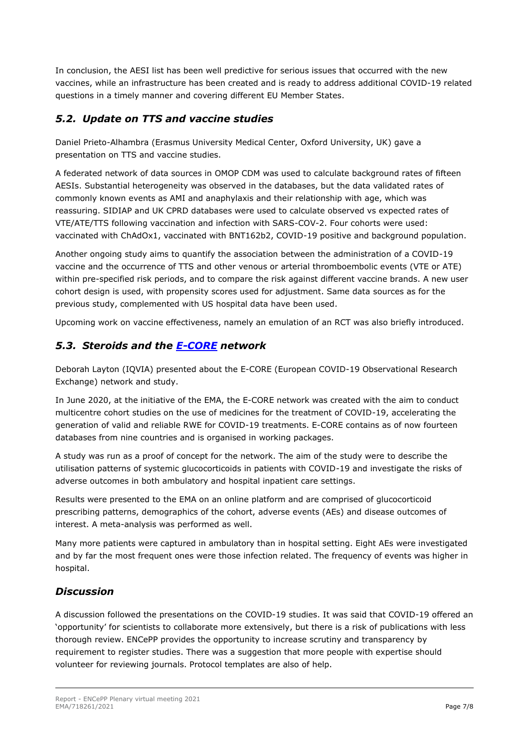In conclusion, the AESI list has been well predictive for serious issues that occurred with the new vaccines, while an infrastructure has been created and is ready to address additional COVID-19 related questions in a timely manner and covering different EU Member States.

# *5.2. Update on TTS and vaccine studies*

Daniel Prieto-Alhambra (Erasmus University Medical Center, Oxford University, UK) gave a presentation on TTS and vaccine studies.

A federated network of data sources in OMOP CDM was used to calculate background rates of fifteen AESIs. Substantial heterogeneity was observed in the databases, but the data validated rates of commonly known events as AMI and anaphylaxis and their relationship with age, which was reassuring. SIDIAP and UK CPRD databases were used to calculate observed vs expected rates of VTE/ATE/TTS following vaccination and infection with SARS-COV-2. Four cohorts were used: vaccinated with ChAdOx1, vaccinated with BNT162b2, COVID-19 positive and background population.

Another ongoing study aims to quantify the association between the administration of a COVID-19 vaccine and the occurrence of TTS and other venous or arterial thromboembolic events (VTE or ATE) within pre-specified risk periods, and to compare the risk against different vaccine brands. A new user cohort design is used, with propensity scores used for adjustment. Same data sources as for the previous study, complemented with US hospital data have been used.

Upcoming work on vaccine effectiveness, namely an emulation of an RCT was also briefly introduced.

#### *5.3. Steroids and the [E-CORE](https://www.encepp.eu/encepp/viewResource.htm?id=39813) network*

Deborah Layton (IQVIA) presented about the E-CORE (European COVID-19 Observational Research Exchange) network and study.

In June 2020, at the initiative of the EMA, the E-CORE network was created with the aim to conduct multicentre cohort studies on the use of medicines for the treatment of COVID-19, accelerating the generation of valid and reliable RWE for COVID-19 treatments. E-CORE contains as of now fourteen databases from nine countries and is organised in working packages.

A study was run as a proof of concept for the network. The aim of the study were to describe the utilisation patterns of systemic glucocorticoids in patients with COVID-19 and investigate the risks of adverse outcomes in both ambulatory and hospital inpatient care settings.

Results were presented to the EMA on an online platform and are comprised of glucocorticoid prescribing patterns, demographics of the cohort, adverse events (AEs) and disease outcomes of interest. A meta-analysis was performed as well.

Many more patients were captured in ambulatory than in hospital setting. Eight AEs were investigated and by far the most frequent ones were those infection related. The frequency of events was higher in hospital.

# *Discussion*

A discussion followed the presentations on the COVID-19 studies. It was said that COVID-19 offered an 'opportunity' for scientists to collaborate more extensively, but there is a risk of publications with less thorough review. ENCePP provides the opportunity to increase scrutiny and transparency by requirement to register studies. There was a suggestion that more people with expertise should volunteer for reviewing journals. Protocol templates are also of help.